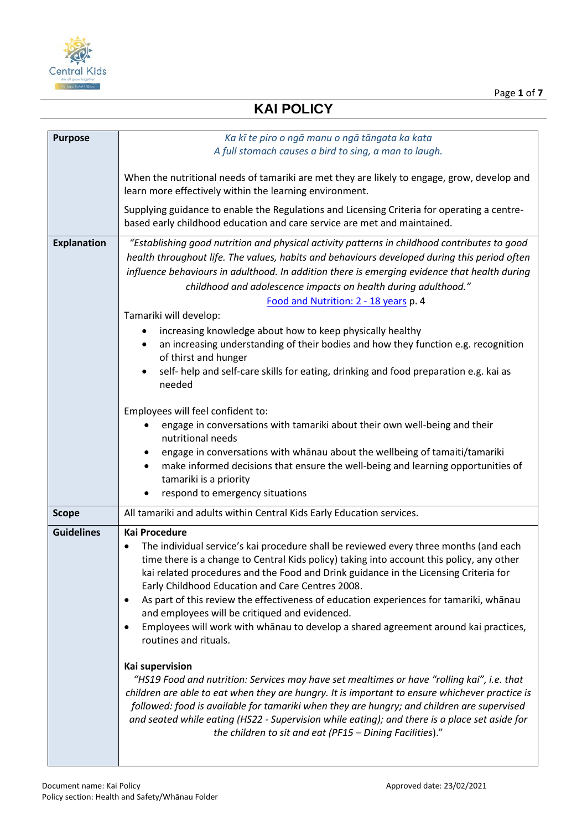

Page **1** of **7**

# **KAI POLICY**

| <b>Purpose</b>     | Ka kī te piro o ngā manu o ngā tāngata ka kata                                                                                                                                                                                                                                                                                                                                                                                                                                                                                                                                                                                                                                                                                                                                                                                                          |
|--------------------|---------------------------------------------------------------------------------------------------------------------------------------------------------------------------------------------------------------------------------------------------------------------------------------------------------------------------------------------------------------------------------------------------------------------------------------------------------------------------------------------------------------------------------------------------------------------------------------------------------------------------------------------------------------------------------------------------------------------------------------------------------------------------------------------------------------------------------------------------------|
|                    | A full stomach causes a bird to sing, a man to laugh.                                                                                                                                                                                                                                                                                                                                                                                                                                                                                                                                                                                                                                                                                                                                                                                                   |
|                    | When the nutritional needs of tamariki are met they are likely to engage, grow, develop and<br>learn more effectively within the learning environment.                                                                                                                                                                                                                                                                                                                                                                                                                                                                                                                                                                                                                                                                                                  |
|                    | Supplying guidance to enable the Regulations and Licensing Criteria for operating a centre-<br>based early childhood education and care service are met and maintained.                                                                                                                                                                                                                                                                                                                                                                                                                                                                                                                                                                                                                                                                                 |
| <b>Explanation</b> | "Establishing good nutrition and physical activity patterns in childhood contributes to good<br>health throughout life. The values, habits and behaviours developed during this period often<br>influence behaviours in adulthood. In addition there is emerging evidence that health during<br>childhood and adolescence impacts on health during adulthood."<br>Food and Nutrition: 2 - 18 years p. 4<br>Tamariki will develop:<br>increasing knowledge about how to keep physically healthy<br>an increasing understanding of their bodies and how they function e.g. recognition<br>of thirst and hunger<br>self- help and self-care skills for eating, drinking and food preparation e.g. kai as<br>needed<br>Employees will feel confident to:<br>engage in conversations with tamariki about their own well-being and their<br>nutritional needs |
|                    | engage in conversations with whanau about the wellbeing of tamaiti/tamariki<br>make informed decisions that ensure the well-being and learning opportunities of<br>tamariki is a priority<br>respond to emergency situations                                                                                                                                                                                                                                                                                                                                                                                                                                                                                                                                                                                                                            |
| <b>Scope</b>       | All tamariki and adults within Central Kids Early Education services.                                                                                                                                                                                                                                                                                                                                                                                                                                                                                                                                                                                                                                                                                                                                                                                   |
| <b>Guidelines</b>  | <b>Kai Procedure</b><br>The individual service's kai procedure shall be reviewed every three months (and each<br>time there is a change to Central Kids policy) taking into account this policy, any other<br>kai related procedures and the Food and Drink guidance in the Licensing Criteria for<br>Early Childhood Education and Care Centres 2008.<br>As part of this review the effectiveness of education experiences for tamariki, whanau<br>٠<br>and employees will be critiqued and evidenced.<br>Employees will work with whanau to develop a shared agreement around kai practices,<br>$\bullet$<br>routines and rituals.                                                                                                                                                                                                                    |
|                    | Kai supervision<br>"HS19 Food and nutrition: Services may have set mealtimes or have "rolling kai", i.e. that<br>children are able to eat when they are hungry. It is important to ensure whichever practice is<br>followed: food is available for tamariki when they are hungry; and children are supervised<br>and seated while eating (HS22 - Supervision while eating); and there is a place set aside for<br>the children to sit and eat (PF15 - Dining Facilities)."                                                                                                                                                                                                                                                                                                                                                                              |

 $\overline{\phantom{a}}$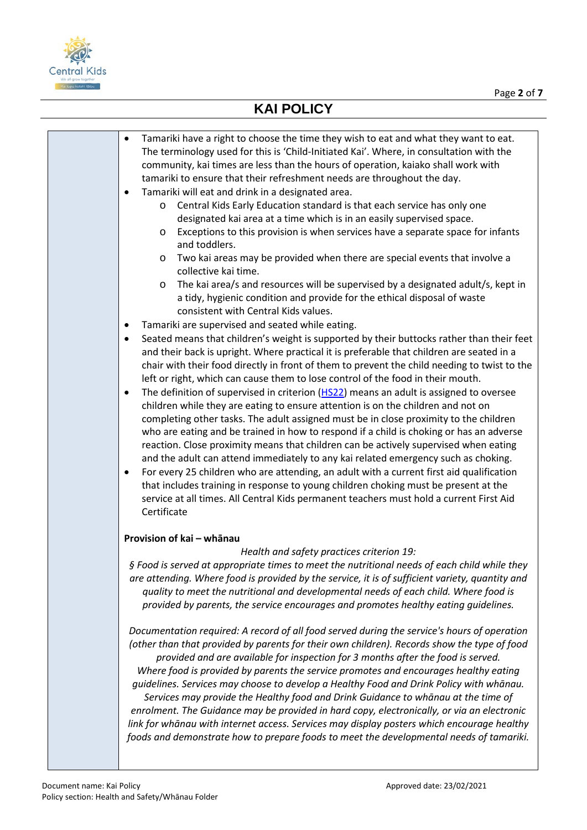

| Tamariki have a right to choose the time they wish to eat and what they want to eat.<br>٠<br>The terminology used for this is 'Child-Initiated Kai'. Where, in consultation with the<br>community, kai times are less than the hours of operation, kaiako shall work with<br>tamariki to ensure that their refreshment needs are throughout the day.                                                                                                                                                                                                                                                                                                                                                                                                                                                                                                                                                                                                                                                                                                                                                                                                                                                                                                                                                                                                                                                                                                                                                                                                                                                                                                                                                                                                                                                                                                           |
|----------------------------------------------------------------------------------------------------------------------------------------------------------------------------------------------------------------------------------------------------------------------------------------------------------------------------------------------------------------------------------------------------------------------------------------------------------------------------------------------------------------------------------------------------------------------------------------------------------------------------------------------------------------------------------------------------------------------------------------------------------------------------------------------------------------------------------------------------------------------------------------------------------------------------------------------------------------------------------------------------------------------------------------------------------------------------------------------------------------------------------------------------------------------------------------------------------------------------------------------------------------------------------------------------------------------------------------------------------------------------------------------------------------------------------------------------------------------------------------------------------------------------------------------------------------------------------------------------------------------------------------------------------------------------------------------------------------------------------------------------------------------------------------------------------------------------------------------------------------|
| Tamariki will eat and drink in a designated area.<br>٠<br>Central Kids Early Education standard is that each service has only one<br>O<br>designated kai area at a time which is in an easily supervised space.<br>Exceptions to this provision is when services have a separate space for infants<br>O<br>and toddlers.<br>Two kai areas may be provided when there are special events that involve a<br>O<br>collective kai time.<br>The kai area/s and resources will be supervised by a designated adult/s, kept in<br>$\circ$<br>a tidy, hygienic condition and provide for the ethical disposal of waste<br>consistent with Central Kids values.<br>Tamariki are supervised and seated while eating.<br>٠<br>Seated means that children's weight is supported by their buttocks rather than their feet<br>$\bullet$<br>and their back is upright. Where practical it is preferable that children are seated in a<br>chair with their food directly in front of them to prevent the child needing to twist to the<br>left or right, which can cause them to lose control of the food in their mouth.<br>The definition of supervised in criterion (HS22) means an adult is assigned to oversee<br>٠<br>children while they are eating to ensure attention is on the children and not on<br>completing other tasks. The adult assigned must be in close proximity to the children<br>who are eating and be trained in how to respond if a child is choking or has an adverse<br>reaction. Close proximity means that children can be actively supervised when eating<br>and the adult can attend immediately to any kai related emergency such as choking.<br>For every 25 children who are attending, an adult with a current first aid qualification<br>$\bullet$<br>that includes training in response to young children choking must be present at the |
| service at all times. All Central Kids permanent teachers must hold a current First Aid<br>Certificate                                                                                                                                                                                                                                                                                                                                                                                                                                                                                                                                                                                                                                                                                                                                                                                                                                                                                                                                                                                                                                                                                                                                                                                                                                                                                                                                                                                                                                                                                                                                                                                                                                                                                                                                                         |
| Provision of kai - whānau<br>Health and safety practices criterion 19:<br>§ Food is served at appropriate times to meet the nutritional needs of each child while they<br>are attending. Where food is provided by the service, it is of sufficient variety, quantity and<br>quality to meet the nutritional and developmental needs of each child. Where food is<br>provided by parents, the service encourages and promotes healthy eating guidelines.<br>Documentation required: A record of all food served during the service's hours of operation<br>(other than that provided by parents for their own children). Records show the type of food<br>provided and are available for inspection for 3 months after the food is served.<br>Where food is provided by parents the service promotes and encourages healthy eating<br>guidelines. Services may choose to develop a Healthy Food and Drink Policy with whānau.                                                                                                                                                                                                                                                                                                                                                                                                                                                                                                                                                                                                                                                                                                                                                                                                                                                                                                                                  |
| Services may provide the Healthy food and Drink Guidance to whanau at the time of<br>enrolment. The Guidance may be provided in hard copy, electronically, or via an electronic<br>link for whānau with internet access. Services may display posters which encourage healthy<br>foods and demonstrate how to prepare foods to meet the developmental needs of tamariki.                                                                                                                                                                                                                                                                                                                                                                                                                                                                                                                                                                                                                                                                                                                                                                                                                                                                                                                                                                                                                                                                                                                                                                                                                                                                                                                                                                                                                                                                                       |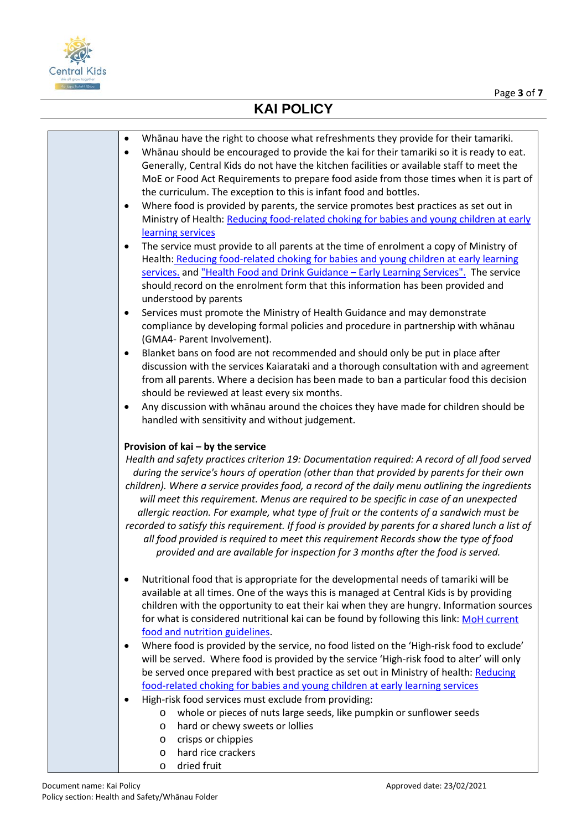

| Whanau have the right to choose what refreshments they provide for their tamariki.<br>$\bullet$<br>Whanau should be encouraged to provide the kai for their tamariki so it is ready to eat.<br>$\bullet$<br>Generally, Central Kids do not have the kitchen facilities or available staff to meet the<br>MoE or Food Act Requirements to prepare food aside from those times when it is part of<br>the curriculum. The exception to this is infant food and bottles.<br>Where food is provided by parents, the service promotes best practices as set out in<br>$\bullet$<br>Ministry of Health: Reducing food-related choking for babies and young children at early<br>learning services<br>The service must provide to all parents at the time of enrolment a copy of Ministry of<br>$\bullet$<br>Health: Reducing food-related choking for babies and young children at early learning |
|--------------------------------------------------------------------------------------------------------------------------------------------------------------------------------------------------------------------------------------------------------------------------------------------------------------------------------------------------------------------------------------------------------------------------------------------------------------------------------------------------------------------------------------------------------------------------------------------------------------------------------------------------------------------------------------------------------------------------------------------------------------------------------------------------------------------------------------------------------------------------------------------|
| services. and "Health Food and Drink Guidance - Early Learning Services". The service<br>should record on the enrolment form that this information has been provided and<br>understood by parents<br>Services must promote the Ministry of Health Guidance and may demonstrate<br>٠<br>compliance by developing formal policies and procedure in partnership with whānau                                                                                                                                                                                                                                                                                                                                                                                                                                                                                                                   |
| (GMA4- Parent Involvement).<br>Blanket bans on food are not recommended and should only be put in place after<br>$\bullet$<br>discussion with the services Kaiarataki and a thorough consultation with and agreement<br>from all parents. Where a decision has been made to ban a particular food this decision<br>should be reviewed at least every six months.<br>Any discussion with whanau around the choices they have made for children should be<br>$\bullet$<br>handled with sensitivity and without judgement.                                                                                                                                                                                                                                                                                                                                                                    |
| Provision of kai - by the service<br>Health and safety practices criterion 19: Documentation required: A record of all food served<br>during the service's hours of operation (other than that provided by parents for their own<br>children). Where a service provides food, a record of the daily menu outlining the ingredients<br>will meet this requirement. Menus are required to be specific in case of an unexpected<br>allergic reaction. For example, what type of fruit or the contents of a sandwich must be<br>recorded to satisfy this requirement. If food is provided by parents for a shared lunch a list of<br>all food provided is required to meet this requirement Records show the type of food<br>provided and are available for inspection for 3 months after the food is served.                                                                                  |
| Nutritional food that is appropriate for the developmental needs of tamariki will be<br>٠<br>available at all times. One of the ways this is managed at Central Kids is by providing<br>children with the opportunity to eat their kai when they are hungry. Information sources<br>for what is considered nutritional kai can be found by following this link: MoH current<br>food and nutrition guidelines.                                                                                                                                                                                                                                                                                                                                                                                                                                                                              |
| Where food is provided by the service, no food listed on the 'High-risk food to exclude'<br>٠<br>will be served. Where food is provided by the service 'High-risk food to alter' will only<br>be served once prepared with best practice as set out in Ministry of health: Reducing<br>food-related choking for babies and young children at early learning services<br>High-risk food services must exclude from providing:                                                                                                                                                                                                                                                                                                                                                                                                                                                               |
| whole or pieces of nuts large seeds, like pumpkin or sunflower seeds<br>$\circ$<br>hard or chewy sweets or lollies<br>$\circ$<br>crisps or chippies<br>$\circ$<br>hard rice crackers<br>$\circ$<br>dried fruit<br>$\circ$                                                                                                                                                                                                                                                                                                                                                                                                                                                                                                                                                                                                                                                                  |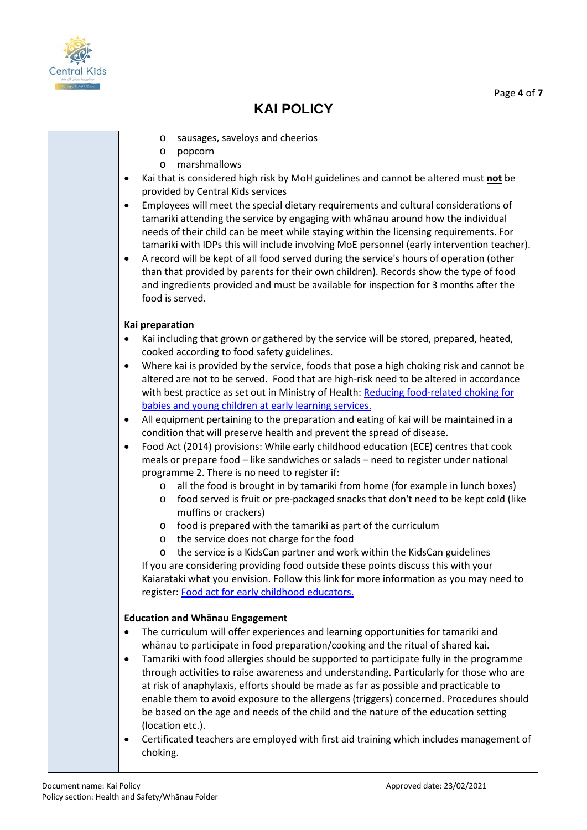

- o sausages, saveloys and cheerios
- o popcorn
- o marshmallows
- Kai that is considered high risk by MoH guidelines and cannot be altered must **not** be provided by Central Kids services
- Employees will meet the special dietary requirements and cultural considerations of tamariki attending the service by engaging with whānau around how the individual needs of their child can be meet while staying within the licensing requirements. For tamariki with IDPs this will include involving MoE personnel (early intervention teacher).
- A record will be kept of all food served during the service's hours of operation (other than that provided by parents for their own children). Records show the type of food and ingredients provided and must be available for inspection for 3 months after the food is served.

#### **Kai preparation**

- Kai including that grown or gathered by the service will be stored, prepared, heated, cooked according to food safety guidelines.
- Where kai is provided by the service, foods that pose a high choking risk and cannot be altered are not to be served. Food that are high-risk need to be altered in accordance with best practice as set out in Ministry of Health: [Reducing food-related choking for](https://www.health.govt.nz/system/files/documents/publications/reducing-food-related-choking-babies-young-children-early-learning-services-dec20.pdf)  [babies and young children at early learning services.](https://www.health.govt.nz/system/files/documents/publications/reducing-food-related-choking-babies-young-children-early-learning-services-dec20.pdf)
- All equipment pertaining to the preparation and eating of kai will be maintained in a condition that will preserve health and prevent the spread of disease.
- Food Act (2014) provisions: While early childhood education (ECE) centres that cook meals or prepare food – like sandwiches or salads – need to register under national programme 2. There is no need to register if:
	- o all the food is brought in by tamariki from home (for example in lunch boxes)
	- o food served is fruit or pre-packaged snacks that don't need to be kept cold (like muffins or crackers)
	- o food is prepared with the tamariki as part of the curriculum
	- o the service does not charge for the food
	- o the service is a KidsCan partner and work within the KidsCan guidelines

If you are considering providing food outside these points discuss this with your Kaiarataki what you envision. Follow this link for more information as you may need to register: [Food act for early childhood educators](https://www.mpi.govt.nz/food-safety/food-act-2014/national-programmes/early-childhood-educators-and-kohanga-reo/).

#### **Education and Whānau Engagement**

- The curriculum will offer experiences and learning opportunities for tamariki and whānau to participate in food preparation/cooking and the ritual of shared kai.
- Tamariki with food allergies should be supported to participate fully in the programme through activities to raise awareness and understanding. Particularly for those who are at risk of anaphylaxis, efforts should be made as far as possible and practicable to enable them to avoid exposure to the allergens (triggers) concerned. Procedures should be based on the age and needs of the child and the nature of the education setting (location etc.).
- Certificated teachers are employed with first aid training which includes management of choking.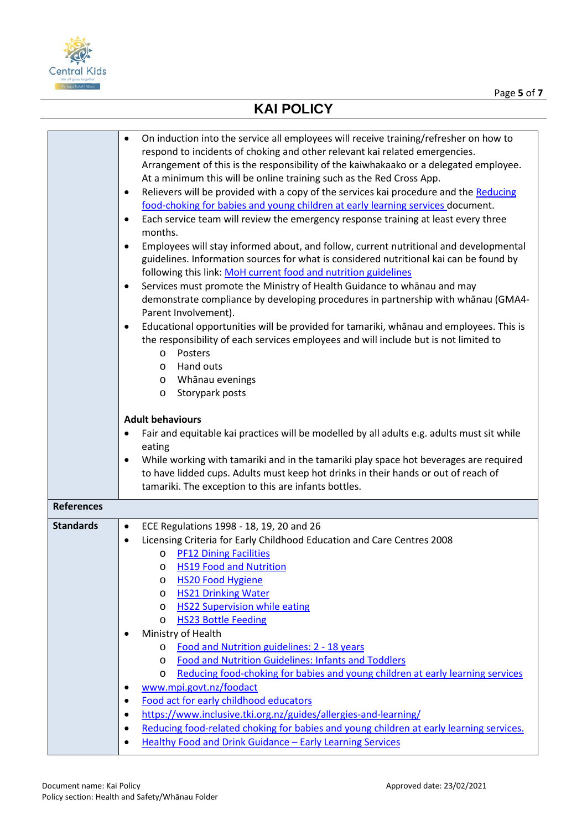

| On induction into the service all employees will receive training/refresher on how to<br>$\bullet$<br>respond to incidents of choking and other relevant kai related emergencies.<br>Arrangement of this is the responsibility of the kaiwhakaako or a delegated employee.<br>At a minimum this will be online training such as the Red Cross App.<br>Relievers will be provided with a copy of the services kai procedure and the Reducing<br>$\bullet$<br>food-choking for babies and young children at early learning services document.<br>Each service team will review the emergency response training at least every three<br>$\bullet$<br>months.<br>Employees will stay informed about, and follow, current nutritional and developmental<br>$\bullet$<br>guidelines. Information sources for what is considered nutritional kai can be found by<br>following this link: MoH current food and nutrition guidelines<br>Services must promote the Ministry of Health Guidance to whanau and may<br>$\bullet$<br>demonstrate compliance by developing procedures in partnership with whānau (GMA4-<br>Parent Involvement).<br>Educational opportunities will be provided for tamariki, whanau and employees. This is<br>$\bullet$<br>the responsibility of each services employees and will include but is not limited to<br>Posters<br>$\circ$<br>Hand outs<br>$\circ$<br>Whānau evenings<br>$\circ$<br>Storypark posts<br>O<br><b>Adult behaviours</b><br>Fair and equitable kai practices will be modelled by all adults e.g. adults must sit while<br>$\bullet$<br>eating<br>While working with tamariki and in the tamariki play space hot beverages are required<br>$\bullet$<br>to have lidded cups. Adults must keep hot drinks in their hands or out of reach of<br>tamariki. The exception to this are infants bottles. |
|-----------------------------------------------------------------------------------------------------------------------------------------------------------------------------------------------------------------------------------------------------------------------------------------------------------------------------------------------------------------------------------------------------------------------------------------------------------------------------------------------------------------------------------------------------------------------------------------------------------------------------------------------------------------------------------------------------------------------------------------------------------------------------------------------------------------------------------------------------------------------------------------------------------------------------------------------------------------------------------------------------------------------------------------------------------------------------------------------------------------------------------------------------------------------------------------------------------------------------------------------------------------------------------------------------------------------------------------------------------------------------------------------------------------------------------------------------------------------------------------------------------------------------------------------------------------------------------------------------------------------------------------------------------------------------------------------------------------------------------------------------------------------------------------------------------------------------------------|
|                                                                                                                                                                                                                                                                                                                                                                                                                                                                                                                                                                                                                                                                                                                                                                                                                                                                                                                                                                                                                                                                                                                                                                                                                                                                                                                                                                                                                                                                                                                                                                                                                                                                                                                                                                                                                                         |
| ECE Regulations 1998 - 18, 19, 20 and 26<br>$\bullet$                                                                                                                                                                                                                                                                                                                                                                                                                                                                                                                                                                                                                                                                                                                                                                                                                                                                                                                                                                                                                                                                                                                                                                                                                                                                                                                                                                                                                                                                                                                                                                                                                                                                                                                                                                                   |
| Licensing Criteria for Early Childhood Education and Care Centres 2008<br>$\bullet$                                                                                                                                                                                                                                                                                                                                                                                                                                                                                                                                                                                                                                                                                                                                                                                                                                                                                                                                                                                                                                                                                                                                                                                                                                                                                                                                                                                                                                                                                                                                                                                                                                                                                                                                                     |
| <b>PF12 Dining Facilities</b><br>O                                                                                                                                                                                                                                                                                                                                                                                                                                                                                                                                                                                                                                                                                                                                                                                                                                                                                                                                                                                                                                                                                                                                                                                                                                                                                                                                                                                                                                                                                                                                                                                                                                                                                                                                                                                                      |
| <b>HS19 Food and Nutrition</b><br>O                                                                                                                                                                                                                                                                                                                                                                                                                                                                                                                                                                                                                                                                                                                                                                                                                                                                                                                                                                                                                                                                                                                                                                                                                                                                                                                                                                                                                                                                                                                                                                                                                                                                                                                                                                                                     |
| <b>HS20 Food Hygiene</b><br>O                                                                                                                                                                                                                                                                                                                                                                                                                                                                                                                                                                                                                                                                                                                                                                                                                                                                                                                                                                                                                                                                                                                                                                                                                                                                                                                                                                                                                                                                                                                                                                                                                                                                                                                                                                                                           |
| <b>HS21 Drinking Water</b><br>O<br><b>HS22 Supervision while eating</b>                                                                                                                                                                                                                                                                                                                                                                                                                                                                                                                                                                                                                                                                                                                                                                                                                                                                                                                                                                                                                                                                                                                                                                                                                                                                                                                                                                                                                                                                                                                                                                                                                                                                                                                                                                 |
| O<br><b>HS23 Bottle Feeding</b><br>O                                                                                                                                                                                                                                                                                                                                                                                                                                                                                                                                                                                                                                                                                                                                                                                                                                                                                                                                                                                                                                                                                                                                                                                                                                                                                                                                                                                                                                                                                                                                                                                                                                                                                                                                                                                                    |
| Ministry of Health<br>$\bullet$                                                                                                                                                                                                                                                                                                                                                                                                                                                                                                                                                                                                                                                                                                                                                                                                                                                                                                                                                                                                                                                                                                                                                                                                                                                                                                                                                                                                                                                                                                                                                                                                                                                                                                                                                                                                         |
| Food and Nutrition guidelines: 2 - 18 years<br>O                                                                                                                                                                                                                                                                                                                                                                                                                                                                                                                                                                                                                                                                                                                                                                                                                                                                                                                                                                                                                                                                                                                                                                                                                                                                                                                                                                                                                                                                                                                                                                                                                                                                                                                                                                                        |
| Food and Nutrition Guidelines: Infants and Toddlers<br>$\circ$                                                                                                                                                                                                                                                                                                                                                                                                                                                                                                                                                                                                                                                                                                                                                                                                                                                                                                                                                                                                                                                                                                                                                                                                                                                                                                                                                                                                                                                                                                                                                                                                                                                                                                                                                                          |
| Reducing food-choking for babies and young children at early learning services<br>$\circ$                                                                                                                                                                                                                                                                                                                                                                                                                                                                                                                                                                                                                                                                                                                                                                                                                                                                                                                                                                                                                                                                                                                                                                                                                                                                                                                                                                                                                                                                                                                                                                                                                                                                                                                                               |
| www.mpi.govt.nz/foodact<br>٠                                                                                                                                                                                                                                                                                                                                                                                                                                                                                                                                                                                                                                                                                                                                                                                                                                                                                                                                                                                                                                                                                                                                                                                                                                                                                                                                                                                                                                                                                                                                                                                                                                                                                                                                                                                                            |
| Food act for early childhood educators<br>$\bullet$                                                                                                                                                                                                                                                                                                                                                                                                                                                                                                                                                                                                                                                                                                                                                                                                                                                                                                                                                                                                                                                                                                                                                                                                                                                                                                                                                                                                                                                                                                                                                                                                                                                                                                                                                                                     |
|                                                                                                                                                                                                                                                                                                                                                                                                                                                                                                                                                                                                                                                                                                                                                                                                                                                                                                                                                                                                                                                                                                                                                                                                                                                                                                                                                                                                                                                                                                                                                                                                                                                                                                                                                                                                                                         |
| https://www.inclusive.tki.org.nz/guides/allergies-and-learning/<br>$\bullet$                                                                                                                                                                                                                                                                                                                                                                                                                                                                                                                                                                                                                                                                                                                                                                                                                                                                                                                                                                                                                                                                                                                                                                                                                                                                                                                                                                                                                                                                                                                                                                                                                                                                                                                                                            |
| Reducing food-related choking for babies and young children at early learning services.<br>$\bullet$                                                                                                                                                                                                                                                                                                                                                                                                                                                                                                                                                                                                                                                                                                                                                                                                                                                                                                                                                                                                                                                                                                                                                                                                                                                                                                                                                                                                                                                                                                                                                                                                                                                                                                                                    |
|                                                                                                                                                                                                                                                                                                                                                                                                                                                                                                                                                                                                                                                                                                                                                                                                                                                                                                                                                                                                                                                                                                                                                                                                                                                                                                                                                                                                                                                                                                                                                                                                                                                                                                                                                                                                                                         |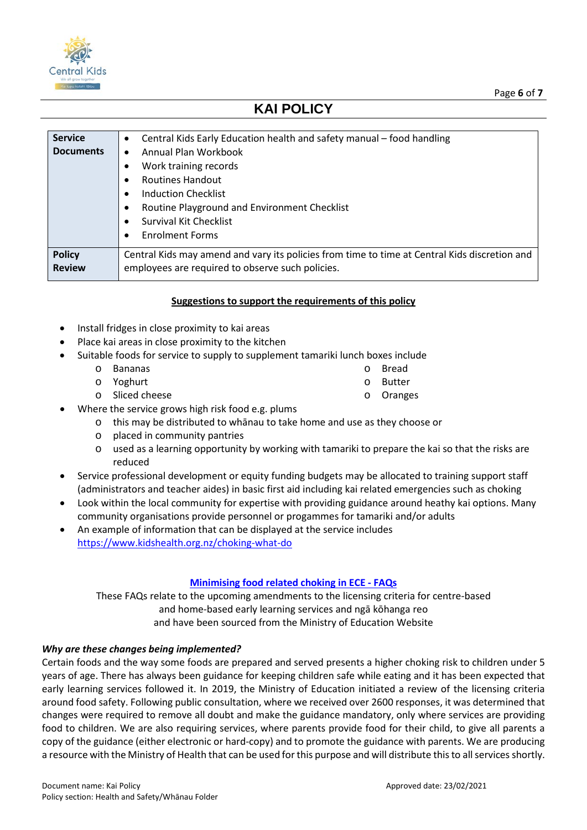

| <b>Service</b><br><b>Documents</b> | Central Kids Early Education health and safety manual - food handling<br>$\bullet$<br>Annual Plan Workbook<br>$\bullet$<br>Work training records<br><b>Routines Handout</b><br>٠<br><b>Induction Checklist</b><br>$\bullet$<br>Routine Playground and Environment Checklist<br>٠<br><b>Survival Kit Checklist</b> |
|------------------------------------|-------------------------------------------------------------------------------------------------------------------------------------------------------------------------------------------------------------------------------------------------------------------------------------------------------------------|
|                                    | <b>Enrolment Forms</b><br>$\bullet$                                                                                                                                                                                                                                                                               |
| <b>Policy</b><br><b>Review</b>     | Central Kids may amend and vary its policies from time to time at Central Kids discretion and<br>employees are required to observe such policies.                                                                                                                                                                 |

### **Suggestions to support the requirements of this policy**

- Install fridges in close proximity to kai areas
- Place kai areas in close proximity to the kitchen
- Suitable foods for service to supply to supplement tamariki lunch boxes include
	- o Bananas
		-
	- o Yoghurt o Sliced cheese
- Where the service grows high risk food e.g. plums
	- o this may be distributed to whānau to take home and use as they choose or
	- o placed in community pantries
	- $\circ$  used as a learning opportunity by working with tamariki to prepare the kai so that the risks are reduced
- Service professional development or equity funding budgets may be allocated to training support staff (administrators and teacher aides) in basic first aid including kai related emergencies such as choking
- Look within the local community for expertise with providing guidance around heathy kai options. Many community organisations provide personnel or progammes for tamariki and/or adults
- An example of information that can be displayed at the service includes <https://www.kidshealth.org.nz/choking-what-do>

### **[Minimising food related choking in ECE](https://govt.us10.list-manage.com/track/click?u=373954a1e5499801180060837&id=7b3656f1b8&e=b45eee317c) - FAQs**

These FAQs relate to the upcoming amendments to the licensing criteria for centre-based and home-based early learning services and ngā kōhanga reo and have been sourced from the Ministry of Education Website

### *Why are these changes being implemented?*

Certain foods and the way some foods are prepared and served presents a higher choking risk to children under 5 years of age. There has always been guidance for keeping children safe while eating and it has been expected that early learning services followed it. In 2019, the Ministry of Education initiated a review of the licensing criteria around food safety. Following public consultation, where we received over 2600 responses, it was determined that changes were required to remove all doubt and make the guidance mandatory, only where services are providing food to children. We are also requiring services, where parents provide food for their child, to give all parents a copy of the guidance (either electronic or hard-copy) and to promote the guidance with parents. We are producing a resource with the Ministry of Health that can be used for this purpose and will distribute this to all services shortly.

o Bread o Butter

o Oranges